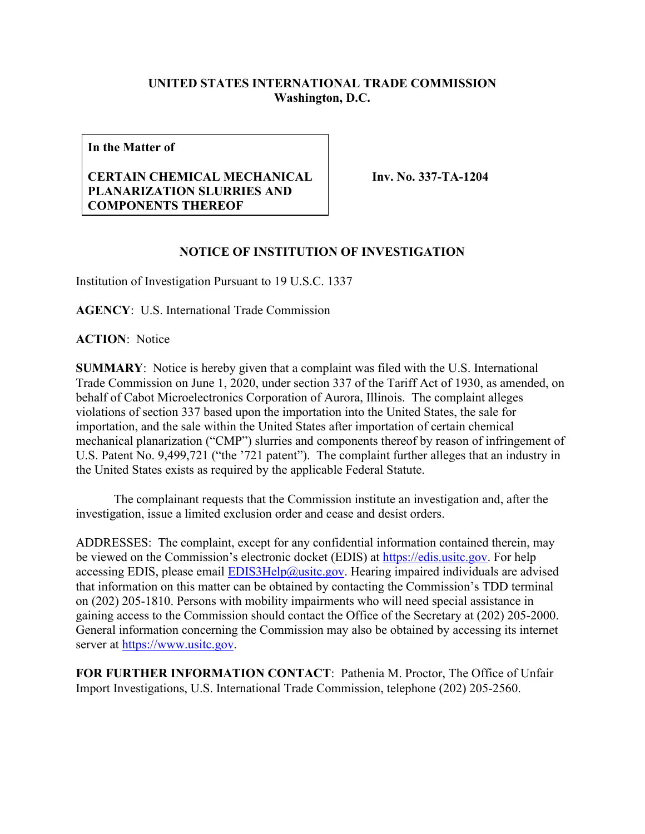## **UNITED STATES INTERNATIONAL TRADE COMMISSION Washington, D.C.**

**In the Matter of**

## **CERTAIN CHEMICAL MECHANICAL PLANARIZATION SLURRIES AND COMPONENTS THEREOF**

**Inv. No. 337-TA-1204**

## **NOTICE OF INSTITUTION OF INVESTIGATION**

Institution of Investigation Pursuant to 19 U.S.C. 1337

**AGENCY**: U.S. International Trade Commission

**ACTION**: Notice

**SUMMARY**: Notice is hereby given that a complaint was filed with the U.S. International Trade Commission on June 1, 2020, under section 337 of the Tariff Act of 1930, as amended, on behalf of Cabot Microelectronics Corporation of Aurora, Illinois. The complaint alleges violations of section 337 based upon the importation into the United States, the sale for importation, and the sale within the United States after importation of certain chemical mechanical planarization ("CMP") slurries and components thereof by reason of infringement of U.S. Patent No. 9,499,721 ("the '721 patent"). The complaint further alleges that an industry in the United States exists as required by the applicable Federal Statute.

The complainant requests that the Commission institute an investigation and, after the investigation, issue a limited exclusion order and cease and desist orders.

ADDRESSES: The complaint, except for any confidential information contained therein, may be viewed on the Commission's electronic docket (EDIS) at [https://edis.usitc.gov.](https://edis.usitc.gov/) For help accessing EDIS, please email  $EDIS3Help@ustc.gov$ . Hearing impaired individuals are advised that information on this matter can be obtained by contacting the Commission's TDD terminal on (202) 205-1810. Persons with mobility impairments who will need special assistance in gaining access to the Commission should contact the Office of the Secretary at (202) 205-2000. General information concerning the Commission may also be obtained by accessing its internet server at [https://www.usitc.gov.](https://www.usitc.gov/)

**FOR FURTHER INFORMATION CONTACT**: Pathenia M. Proctor, The Office of Unfair Import Investigations, U.S. International Trade Commission, telephone (202) 205-2560.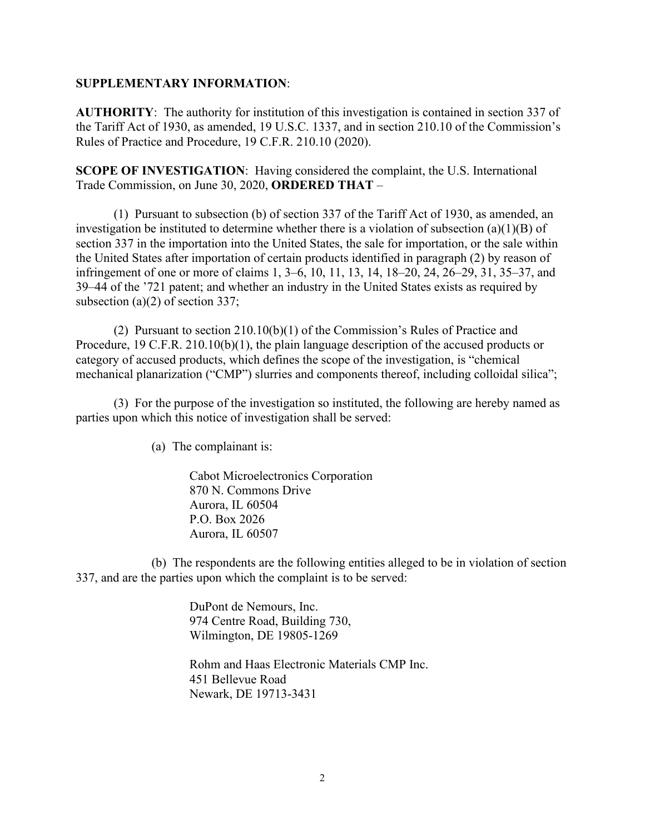## **SUPPLEMENTARY INFORMATION**:

**AUTHORITY**: The authority for institution of this investigation is contained in section 337 of the Tariff Act of 1930, as amended, 19 U.S.C. 1337, and in section 210.10 of the Commission's Rules of Practice and Procedure, 19 C.F.R. 210.10 (2020).

**SCOPE OF INVESTIGATION**: Having considered the complaint, the U.S. International Trade Commission, on June 30, 2020, **ORDERED THAT** –

(1) Pursuant to subsection (b) of section 337 of the Tariff Act of 1930, as amended, an investigation be instituted to determine whether there is a violation of subsection (a)(1)(B) of section 337 in the importation into the United States, the sale for importation, or the sale within the United States after importation of certain products identified in paragraph (2) by reason of infringement of one or more of claims 1, 3–6, 10, 11, 13, 14, 18–20, 24, 26–29, 31, 35–37, and 39–44 of the '721 patent; and whether an industry in the United States exists as required by subsection (a)(2) of section 337;

(2) Pursuant to section 210.10(b)(1) of the Commission's Rules of Practice and Procedure, 19 C.F.R. 210.10(b)(1), the plain language description of the accused products or category of accused products, which defines the scope of the investigation, is "chemical mechanical planarization ("CMP") slurries and components thereof, including colloidal silica";

(3) For the purpose of the investigation so instituted, the following are hereby named as parties upon which this notice of investigation shall be served:

(a) The complainant is:

Cabot Microelectronics Corporation 870 N. Commons Drive Aurora, IL 60504 P.O. Box 2026 Aurora, IL 60507

(b) The respondents are the following entities alleged to be in violation of section 337, and are the parties upon which the complaint is to be served:

> DuPont de Nemours, Inc. 974 Centre Road, Building 730, Wilmington, DE 19805-1269

Rohm and Haas Electronic Materials CMP Inc. 451 Bellevue Road Newark, DE 19713-3431